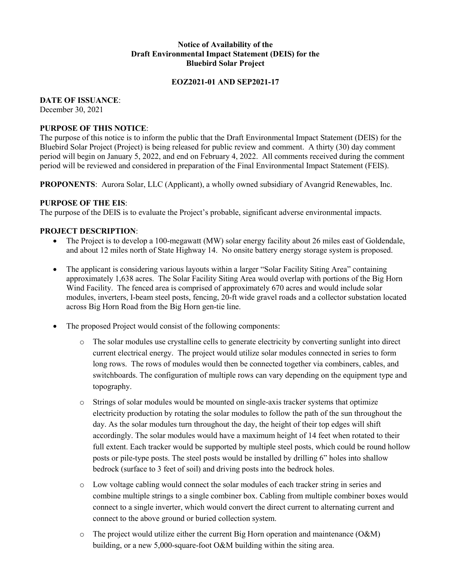#### **Notice of Availability of the Draft Environmental Impact Statement (DEIS) for the Bluebird Solar Project**

#### **EOZ2021-01 AND SEP2021-17**

#### **DATE OF ISSUANCE**:

December 30, 2021

#### **PURPOSE OF THIS NOTICE**:

The purpose of this notice is to inform the public that the Draft Environmental Impact Statement (DEIS) for the Bluebird Solar Project (Project) is being released for public review and comment. A thirty (30) day comment period will begin on January 5, 2022, and end on February 4, 2022. All comments received during the comment period will be reviewed and considered in preparation of the Final Environmental Impact Statement (FEIS).

**PROPONENTS**: Aurora Solar, LLC (Applicant), a wholly owned subsidiary of Avangrid Renewables, Inc.

# **PURPOSE OF THE EIS**:

The purpose of the DEIS is to evaluate the Project's probable, significant adverse environmental impacts.

# **PROJECT DESCRIPTION**:

- The Project is to develop a 100-megawatt (MW) solar energy facility about 26 miles east of Goldendale, and about 12 miles north of State Highway 14. No onsite battery energy storage system is proposed.
- The applicant is considering various layouts within a larger "Solar Facility Siting Area" containing approximately 1,638 acres. The Solar Facility Siting Area would overlap with portions of the Big Horn Wind Facility. The fenced area is comprised of approximately 670 acres and would include solar modules, inverters, I-beam steel posts, fencing, 20-ft wide gravel roads and a collector substation located across Big Horn Road from the Big Horn gen-tie line.
- The proposed Project would consist of the following components:
	- o The solar modules use crystalline cells to generate electricity by converting sunlight into direct current electrical energy. The project would utilize solar modules connected in series to form long rows. The rows of modules would then be connected together via combiners, cables, and switchboards. The configuration of multiple rows can vary depending on the equipment type and topography.
	- o Strings of solar modules would be mounted on single-axis tracker systems that optimize electricity production by rotating the solar modules to follow the path of the sun throughout the day. As the solar modules turn throughout the day, the height of their top edges will shift accordingly. The solar modules would have a maximum height of 14 feet when rotated to their full extent. Each tracker would be supported by multiple steel posts, which could be round hollow posts or pile-type posts. The steel posts would be installed by drilling 6" holes into shallow bedrock (surface to 3 feet of soil) and driving posts into the bedrock holes.
	- o Low voltage cabling would connect the solar modules of each tracker string in series and combine multiple strings to a single combiner box. Cabling from multiple combiner boxes would connect to a single inverter, which would convert the direct current to alternating current and connect to the above ground or buried collection system.
	- $\circ$  The project would utilize either the current Big Horn operation and maintenance (O&M) building, or a new 5,000-square-foot O&M building within the siting area.